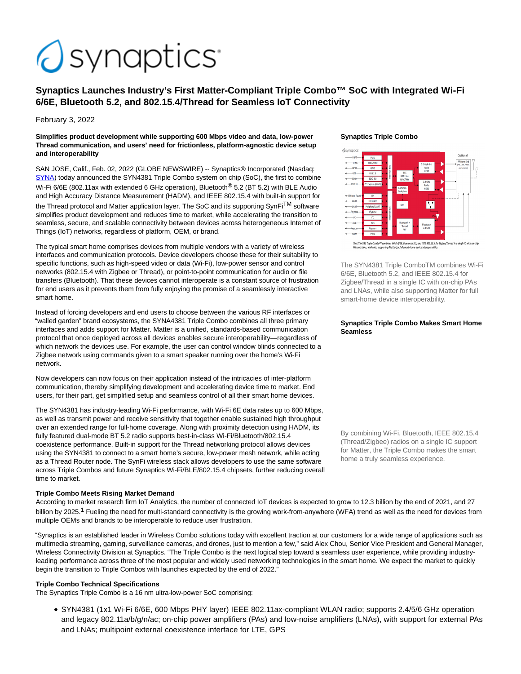# *<u>asynaptics</u>*

# **Synaptics Launches Industry's First Matter-Compliant Triple Combo™ SoC with Integrated Wi-Fi 6/6E, Bluetooth 5.2, and 802.15.4/Thread for Seamless IoT Connectivity**

February 3, 2022

#### **Simplifies product development while supporting 600 Mbps video and data, low-power Thread communication, and users' need for frictionless, platform-agnostic device setup and interoperability**

SAN JOSE, Calif., Feb. 02, 2022 (GLOBE NEWSWIRE) -- Synaptics® Incorporated (Nasdaq: [SYNA\)](https://www.globenewswire.com/Tracker?data=sg8MV-p9RcNDyYI4VPOo8yzqjMPixEb2qawZofp8gXfasaZhfZhO_1UlyskUJCTyyF-LRc16IcGToemnmetACA==) today announced the SYN4381 Triple Combo system on chip (SoC), the first to combine Wi-Fi 6/6E (802.11ax with extended 6 GHz operation), Bluetooth<sup>®</sup> 5.2 (BT 5.2) with BLE Audio and High Accuracy Distance Measurement (HADM), and IEEE 802.15.4 with built-in support for the Thread protocol and Matter application layer. The SoC and its supporting SynFi<sup>TM</sup> software simplifies product development and reduces time to market, while accelerating the transition to seamless, secure, and scalable connectivity between devices across heterogeneous Internet of Things (IoT) networks, regardless of platform, OEM, or brand.

The typical smart home comprises devices from multiple vendors with a variety of wireless interfaces and communication protocols. Device developers choose these for their suitability to specific functions, such as high-speed video or data (Wi-Fi), low-power sensor and control networks (802.15.4 with Zigbee or Thread), or point-to-point communication for audio or file transfers (Bluetooth). That these devices cannot interoperate is a constant source of frustration for end users as it prevents them from fully enjoying the promise of a seamlessly interactive smart home.

Instead of forcing developers and end users to choose between the various RF interfaces or "walled garden" brand ecosystems, the SYNA4381 Triple Combo combines all three primary interfaces and adds support for Matter. Matter is a unified, standards-based communication protocol that once deployed across all devices enables secure interoperability—regardless of which network the devices use. For example, the user can control window blinds connected to a Zigbee network using commands given to a smart speaker running over the home's Wi-Fi network.

Now developers can now focus on their application instead of the intricacies of inter-platform communication, thereby simplifying development and accelerating device time to market. End users, for their part, get simplified setup and seamless control of all their smart home devices.

The SYN4381 has industry-leading Wi-Fi performance, with Wi-Fi 6E data rates up to 600 Mbps, as well as transmit power and receive sensitivity that together enable sustained high throughput over an extended range for full-home coverage. Along with proximity detection using HADM, its fully featured dual-mode BT 5.2 radio supports best-in-class Wi-Fi/Bluetooth/802.15.4 coexistence performance. Built-in support for the Thread networking protocol allows devices using the SYN4381 to connect to a smart home's secure, low-power mesh network, while acting as a Thread Router node. The SynFi wireless stack allows developers to use the same software across Triple Combos and future Synaptics Wi-Fi/BLE/802.15.4 chipsets, further reducing overall time to market.

# **Triple Combo Meets Rising Market Demand**

According to market research firm IoT Analytics, the number of connected IoT devices is expected to grow to 12.3 billion by the end of 2021, and 27 billion by 2025.<sup>1</sup> Fueling the need for multi-standard connectivity is the growing work-from-anywhere (WFA) trend as well as the need for devices from multiple OEMs and brands to be interoperable to reduce user frustration.

"Synaptics is an established leader in Wireless Combo solutions today with excellent traction at our customers for a wide range of applications such as multimedia streaming, gaming, surveillance cameras, and drones, just to mention a few," said Alex Chou, Senior Vice President and General Manager, Wireless Connectivity Division at Synaptics. "The Triple Combo is the next logical step toward a seamless user experience, while providing industryleading performance across three of the most popular and widely used networking technologies in the smart home. We expect the market to quickly begin the transition to Triple Combos with launches expected by the end of 2022."

# **Triple Combo Technical Specifications**

The Synaptics Triple Combo is a 16 nm ultra-low-power SoC comprising:

SYN4381 (1x1 Wi-Fi 6/6E, 600 Mbps PHY layer) IEEE 802.11ax-compliant WLAN radio; supports 2.4/5/6 GHz operation and legacy 802.11a/b/g/n/ac; on-chip power amplifiers (PAs) and low-noise amplifiers (LNAs), with support for external PAs and LNAs; multipoint external coexistence interface for LTE, GPS

#### **Synaptics Triple Combo**



s Wi-Fi 6/6E, Bluetooth 5.2, and IEEE 802.15.4 for Zigbee

The SYN4381 Triple ComboTM combines Wi-Fi 6/6E, Bluetooth 5.2, and IEEE 802.15.4 for Zigbee/Thread in a single IC with on-chip PAs and LNAs, while also supporting Matter for full smart-home device interoperability.

#### **Synaptics Triple Combo Makes Smart Home Seamless**

By combining Wi-Fi, Bluetooth, IEEE 802.15.4 (Thread/Zigbee) radios on a single IC support for Matter, the Triple Combo makes the smart home a truly seamless experience.